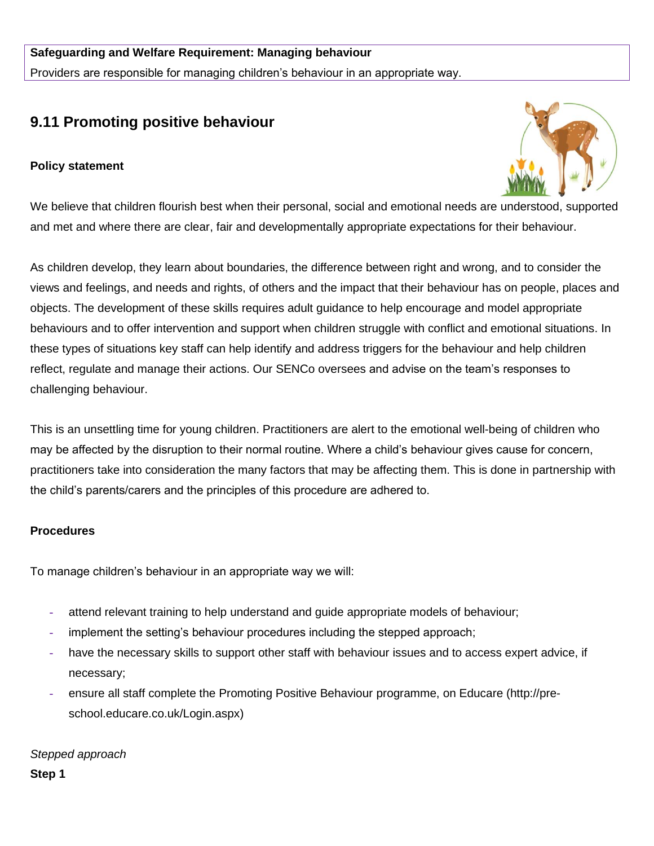# **9.11 Promoting positive behaviour**

## **Policy statement**



We believe that children flourish best when their personal, social and emotional needs are understood, supported and met and where there are clear, fair and developmentally appropriate expectations for their behaviour.

As children develop, they learn about boundaries, the difference between right and wrong, and to consider the views and feelings, and needs and rights, of others and the impact that their behaviour has on people, places and objects. The development of these skills requires adult guidance to help encourage and model appropriate behaviours and to offer intervention and support when children struggle with conflict and emotional situations. In these types of situations key staff can help identify and address triggers for the behaviour and help children reflect, regulate and manage their actions. Our SENCo oversees and advise on the team's responses to challenging behaviour.

This is an unsettling time for young children. Practitioners are alert to the emotional well-being of children who may be affected by the disruption to their normal routine. Where a child's behaviour gives cause for concern, practitioners take into consideration the many factors that may be affecting them. This is done in partnership with the child's parents/carers and the principles of this procedure are adhered to.

### **Procedures**

To manage children's behaviour in an appropriate way we will:

- **-** attend relevant training to help understand and guide appropriate models of behaviour;
- **-** implement the setting's behaviour procedures including the stepped approach;
- **-** have the necessary skills to support other staff with behaviour issues and to access expert advice, if necessary;
- **-** ensure all staff complete the Promoting Positive Behaviour programme, on Educare (http://preschool.educare.co.uk/Login.aspx)

*Stepped approach* **Step 1**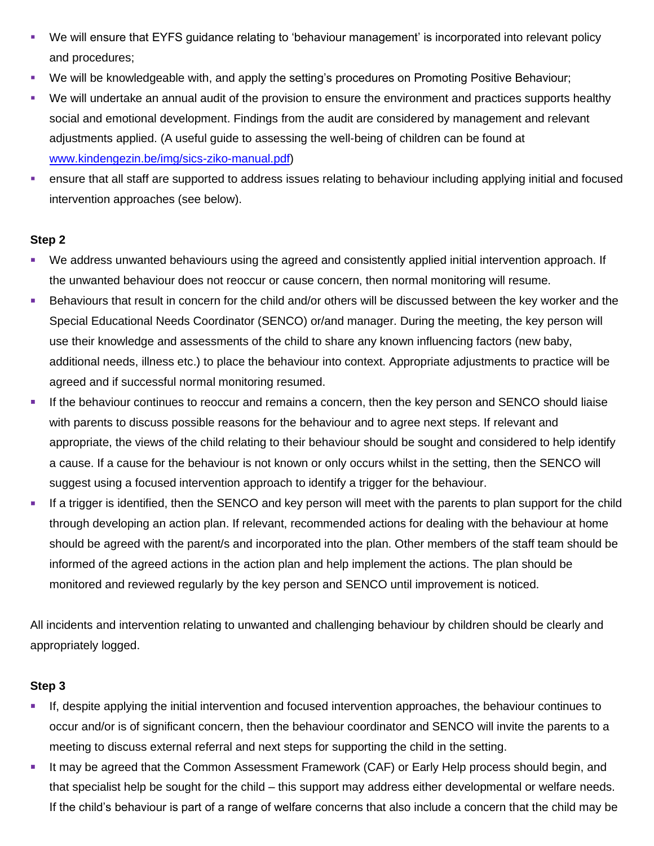- We will ensure that EYFS guidance relating to 'behaviour management' is incorporated into relevant policy and procedures;
- We will be knowledgeable with, and apply the setting's procedures on Promoting Positive Behaviour;
- We will undertake an annual audit of the provision to ensure the environment and practices supports healthy social and emotional development. Findings from the audit are considered by management and relevant adjustments applied. (A useful guide to assessing the well-being of children can be found at [www.kindengezin.be/img/sics-ziko-manual.pdf\)](http://www.kindengezin.be/img/sics-ziko-manual.pdf)
- **•** ensure that all staff are supported to address issues relating to behaviour including applying initial and focused intervention approaches (see below).

### **Step 2**

- We address unwanted behaviours using the agreed and consistently applied initial intervention approach. If the unwanted behaviour does not reoccur or cause concern, then normal monitoring will resume.
- **EXECT ADDET FOR THE CONCERT FOR THE CHILD FOR THE CHILD FOR THE CONCERT AND FIGUREY** Behaviours that result the Special Educational Needs Coordinator (SENCO) or/and manager. During the meeting, the key person will use their knowledge and assessments of the child to share any known influencing factors (new baby, additional needs, illness etc.) to place the behaviour into context. Appropriate adjustments to practice will be agreed and if successful normal monitoring resumed.
- **.** If the behaviour continues to reoccur and remains a concern, then the key person and SENCO should liaise with parents to discuss possible reasons for the behaviour and to agree next steps. If relevant and appropriate, the views of the child relating to their behaviour should be sought and considered to help identify a cause. If a cause for the behaviour is not known or only occurs whilst in the setting, then the SENCO will suggest using a focused intervention approach to identify a trigger for the behaviour.
- **.** If a trigger is identified, then the SENCO and key person will meet with the parents to plan support for the child through developing an action plan. If relevant, recommended actions for dealing with the behaviour at home should be agreed with the parent/s and incorporated into the plan. Other members of the staff team should be informed of the agreed actions in the action plan and help implement the actions. The plan should be monitored and reviewed regularly by the key person and SENCO until improvement is noticed.

All incidents and intervention relating to unwanted and challenging behaviour by children should be clearly and appropriately logged.

### **Step 3**

- If, despite applying the initial intervention and focused intervention approaches, the behaviour continues to occur and/or is of significant concern, then the behaviour coordinator and SENCO will invite the parents to a meeting to discuss external referral and next steps for supporting the child in the setting.
- **E** It may be agreed that the Common Assessment Framework (CAF) or Early Help process should begin, and that specialist help be sought for the child – this support may address either developmental or welfare needs. If the child's behaviour is part of a range of welfare concerns that also include a concern that the child may be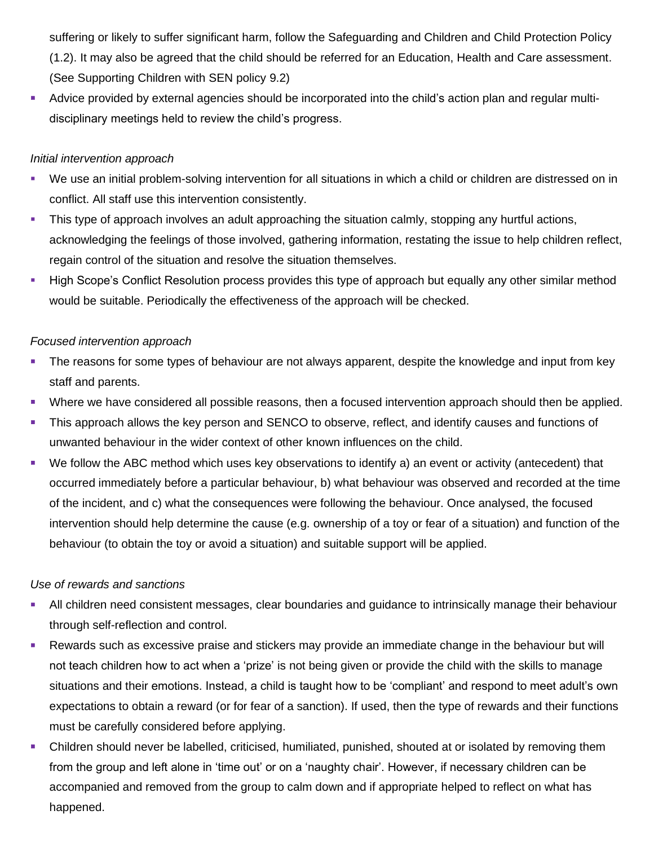suffering or likely to suffer significant harm, follow the Safeguarding and Children and Child Protection Policy (1.2). It may also be agreed that the child should be referred for an Education, Health and Care assessment. (See Supporting Children with SEN policy 9.2)

▪ Advice provided by external agencies should be incorporated into the child's action plan and regular multidisciplinary meetings held to review the child's progress.

### *Initial intervention approach*

- We use an initial problem-solving intervention for all situations in which a child or children are distressed on in conflict. All staff use this intervention consistently.
- **E** This type of approach involves an adult approaching the situation calmly, stopping any hurtful actions, acknowledging the feelings of those involved, gathering information, restating the issue to help children reflect, regain control of the situation and resolve the situation themselves.
- **EXT** High Scope's Conflict Resolution process provides this type of approach but equally any other similar method would be suitable. Periodically the effectiveness of the approach will be checked.

### *Focused intervention approach*

- **The reasons for some types of behaviour are not always apparent, despite the knowledge and input from key** staff and parents.
- Where we have considered all possible reasons, then a focused intervention approach should then be applied.
- **This approach allows the key person and SENCO to observe, reflect, and identify causes and functions of** unwanted behaviour in the wider context of other known influences on the child.
- We follow the ABC method which uses key observations to identify a) an event or activity (antecedent) that occurred immediately before a particular behaviour, b) what behaviour was observed and recorded at the time of the incident, and c) what the consequences were following the behaviour. Once analysed, the focused intervention should help determine the cause (e.g. ownership of a toy or fear of a situation) and function of the behaviour (to obtain the toy or avoid a situation) and suitable support will be applied.

### *Use of rewards and sanctions*

- **EXT** All children need consistent messages, clear boundaries and guidance to intrinsically manage their behaviour through self-reflection and control.
- Rewards such as excessive praise and stickers may provide an immediate change in the behaviour but will not teach children how to act when a 'prize' is not being given or provide the child with the skills to manage situations and their emotions. Instead, a child is taught how to be 'compliant' and respond to meet adult's own expectations to obtain a reward (or for fear of a sanction). If used, then the type of rewards and their functions must be carefully considered before applying.
- **EXEC** Children should never be labelled, criticised, humiliated, punished, shouted at or isolated by removing them from the group and left alone in 'time out' or on a 'naughty chair'. However, if necessary children can be accompanied and removed from the group to calm down and if appropriate helped to reflect on what has happened.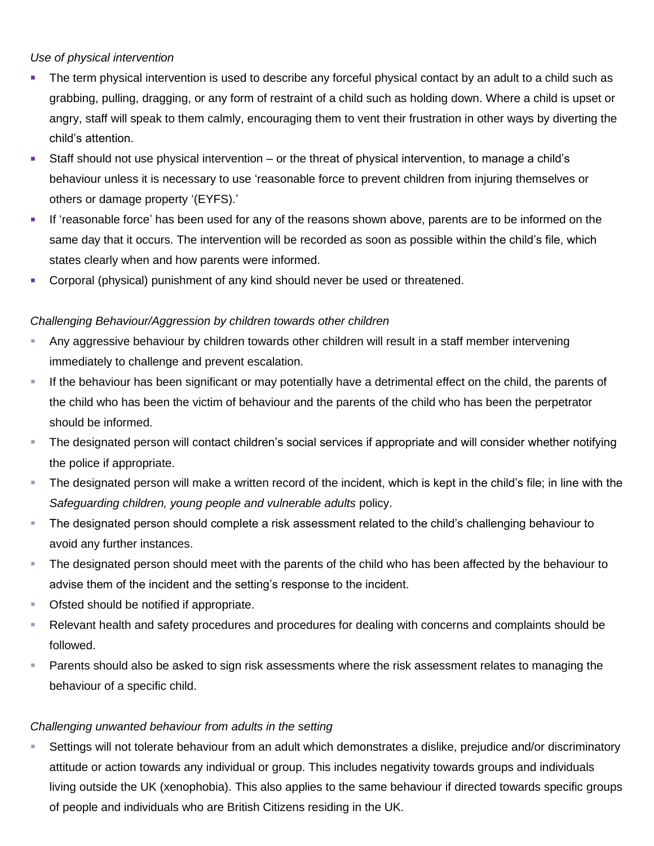### *Use of physical intervention*

- **The term physical intervention is used to describe any forceful physical contact by an adult to a child such as** grabbing, pulling, dragging, or any form of restraint of a child such as holding down. Where a child is upset or angry, staff will speak to them calmly, encouraging them to vent their frustration in other ways by diverting the child's attention.
- Staff should not use physical intervention or the threat of physical intervention, to manage a child's behaviour unless it is necessary to use 'reasonable force to prevent children from injuring themselves or others or damage property '(EYFS).'
- **If 'reasonable force' has been used for any of the reasons shown above, parents are to be informed on the** same day that it occurs. The intervention will be recorded as soon as possible within the child's file, which states clearly when and how parents were informed.
- **Example 2** Corporal (physical) punishment of any kind should never be used or threatened.

# *Challenging Behaviour/Aggression by children towards other children*

- Any aggressive behaviour by children towards other children will result in a staff member intervening immediately to challenge and prevent escalation.
- **.** If the behaviour has been significant or may potentially have a detrimental effect on the child, the parents of the child who has been the victim of behaviour and the parents of the child who has been the perpetrator should be informed.
- **The designated person will contact children's social services if appropriate and will consider whether notifying** the police if appropriate.
- **The designated person will make a written record of the incident, which is kept in the child's file; in line with the** *Safeguarding children, young people and vulnerable adults* policy.
- **The designated person should complete a risk assessment related to the child's challenging behaviour to** avoid any further instances.
- **The designated person should meet with the parents of the child who has been affected by the behaviour to** advise them of the incident and the setting's response to the incident.
- Ofsted should be notified if appropriate.
- Relevant health and safety procedures and procedures for dealing with concerns and complaints should be followed.
- **EXECT** Parents should also be asked to sign risk assessments where the risk assessment relates to managing the behaviour of a specific child.

# *Challenging unwanted behaviour from adults in the setting*

▪ Settings will not tolerate behaviour from an adult which demonstrates a dislike, prejudice and/or discriminatory attitude or action towards any individual or group. This includes negativity towards groups and individuals living outside the UK (xenophobia). This also applies to the same behaviour if directed towards specific groups of people and individuals who are British Citizens residing in the UK.